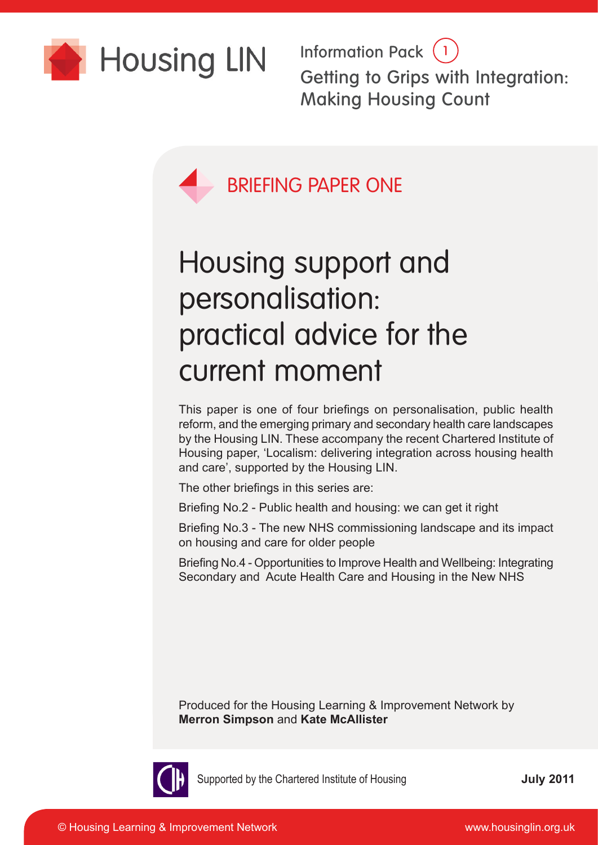

Information Pack (1) Getting to Grips with Integration: Making Housing Count



# Housing support and personalisation: practical advice for the current moment

This paper is one of four briefings on personalisation, public health reform, and the emerging primary and secondary health care landscapes by the Housing LIN. These accompany the recent Chartered Institute of Housing paper, 'Localism: delivering integration across housing health and care', supported by the Housing LIN.

The other briefings in this series are:

Briefing No.2 - Public health and housing: we can get it right

Briefing No.3 - The new NHS commissioning landscape and its impact on housing and care for older people

Briefing No.4 - Opportunities to Improve Health and Wellbeing: Integrating Secondary and Acute Health Care and Housing in the New NHS

Produced for the Housing Learning & Improvement Network by **Merron Simpson** and **Kate McAllister**



Supported by the Chartered Institute of Housing

**July 2011**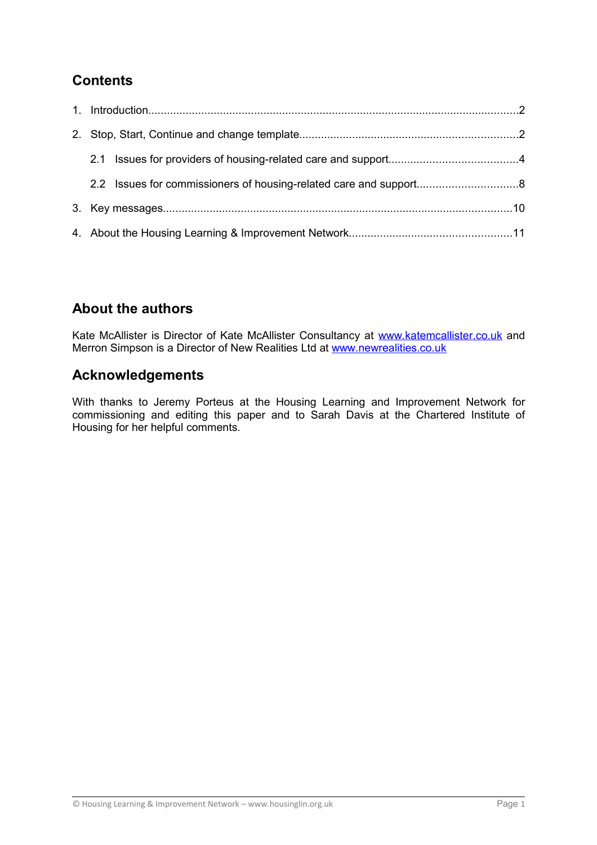# **Contents**

# **About the authors**

Kate McAllister is Director of Kate McAllister Consultancy at [www.katemcallister.co.uk](http://www.katemcallister.co.uk/) and Merron Simpson is a Director of New Realities Ltd at [www.newrealities.co.uk](http://www.newrealities.co.uk/)

# **Acknowledgements**

With thanks to Jeremy Porteus at the Housing Learning and Improvement Network for commissioning and editing this paper and to Sarah Davis at the Chartered Institute of Housing for her helpful comments.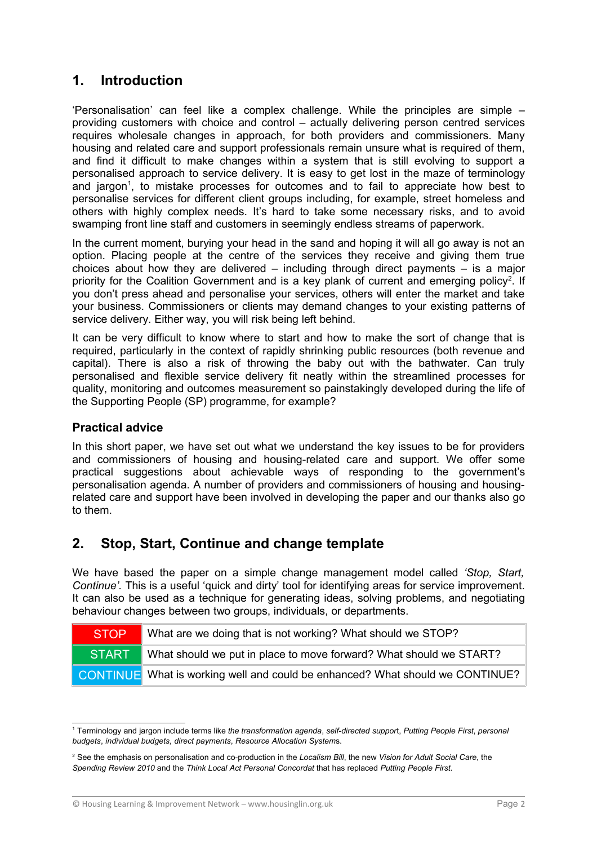## **1. Introduction**

'Personalisation' can feel like a complex challenge. While the principles are simple – providing customers with choice and control – actually delivering person centred services requires wholesale changes in approach, for both providers and commissioners. Many housing and related care and support professionals remain unsure what is required of them, and find it difficult to make changes within a system that is still evolving to support a personalised approach to service delivery. It is easy to get lost in the maze of terminology and jargon<sup>[1](#page-2-0)</sup>, to mistake processes for outcomes and to fail to appreciate how best to personalise services for different client groups including, for example, street homeless and others with highly complex needs. It's hard to take some necessary risks, and to avoid swamping front line staff and customers in seemingly endless streams of paperwork.

In the current moment, burying your head in the sand and hoping it will all go away is not an option. Placing people at the centre of the services they receive and giving them true choices about how they are delivered  $-$  including through direct payments  $-$  is a major priority for the Coalition Government and is a key plank of current and emerging policy<sup>[2](#page-2-1)</sup>. If you don't press ahead and personalise your services, others will enter the market and take your business. Commissioners or clients may demand changes to your existing patterns of service delivery. Either way, you will risk being left behind.

It can be very difficult to know where to start and how to make the sort of change that is required, particularly in the context of rapidly shrinking public resources (both revenue and capital). There is also a risk of throwing the baby out with the bathwater. Can truly personalised and flexible service delivery fit neatly within the streamlined processes for quality, monitoring and outcomes measurement so painstakingly developed during the life of the Supporting People (SP) programme, for example?

## **Practical advice**

In this short paper, we have set out what we understand the key issues to be for providers and commissioners of housing and housing-related care and support. We offer some practical suggestions about achievable ways of responding to the government's personalisation agenda. A number of providers and commissioners of housing and housingrelated care and support have been involved in developing the paper and our thanks also go to them.

# **2. Stop, Start, Continue and change template**

We have based the paper on a simple change management model called *'Stop, Start, Continue'.* This is a useful 'quick and dirty' tool for identifying areas for service improvement. It can also be used as a technique for generating ideas, solving problems, and negotiating behaviour changes between two groups, individuals, or departments.

| <b>STOP</b>  | What are we doing that is not working? What should we STOP?                          |
|--------------|--------------------------------------------------------------------------------------|
| <b>START</b> | What should we put in place to move forward? What should we START?                   |
|              | <b>CONTINUE</b> What is working well and could be enhanced? What should we CONTINUE? |

<span id="page-2-0"></span><sup>1</sup> Terminology and jargon include terms like *the transformation agenda*, *self-directed suppor*t, *Putting People First*, *personal budgets*, *individual budgets, direct payments*, *Resource Allocation System*s.

<span id="page-2-1"></span><sup>2</sup> See the emphasis on personalisation and co-production in the *Localism Bill*, the new *Vision for Adult Social Care*, the *Spending Review 2010* and the *Think Local Act Personal Concordat* that has replaced *Putting People First.*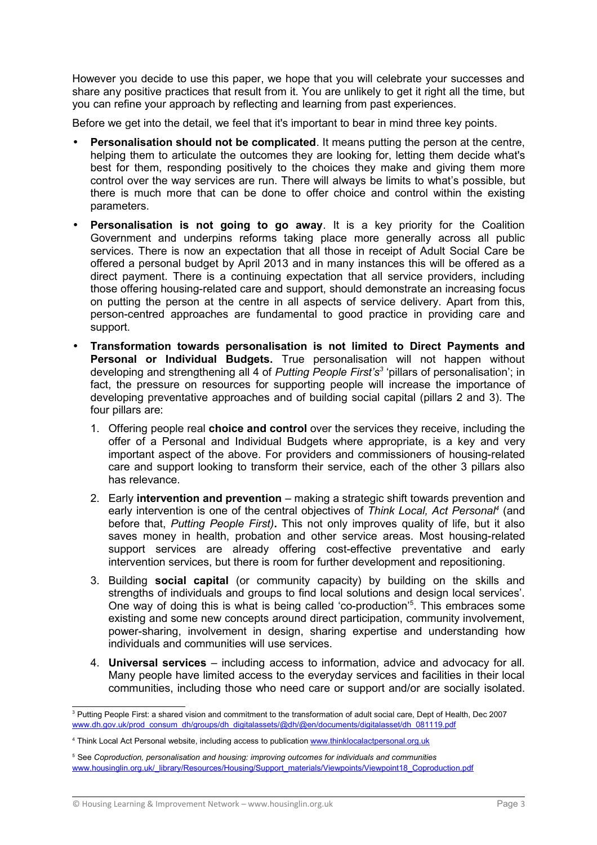However you decide to use this paper, we hope that you will celebrate your successes and share any positive practices that result from it. You are unlikely to get it right all the time, but you can refine your approach by reflecting and learning from past experiences.

Before we get into the detail, we feel that it's important to bear in mind three key points.

- **Personalisation should not be complicated.** It means putting the person at the centre, helping them to articulate the outcomes they are looking for, letting them decide what's best for them, responding positively to the choices they make and giving them more control over the way services are run. There will always be limits to what's possible, but there is much more that can be done to offer choice and control within the existing parameters.
- **Personalisation is not going to go away**. It is a key priority for the Coalition Government and underpins reforms taking place more generally across all public services. There is now an expectation that all those in receipt of Adult Social Care be offered a personal budget by April 2013 and in many instances this will be offered as a direct payment. There is a continuing expectation that all service providers, including those offering housing-related care and support, should demonstrate an increasing focus on putting the person at the centre in all aspects of service delivery. Apart from this, person-centred approaches are fundamental to good practice in providing care and support.
- **Transformation towards personalisation is not limited to Direct Payments and Personal or Individual Budgets.** True personalisation will not happen without developing and strengthening all 4 of *Putting People First's[3](#page-3-0)* 'pillars of personalisation'; in fact, the pressure on resources for supporting people will increase the importance of developing preventative approaches and of building social capital (pillars 2 and 3). The four pillars are:
	- 1. Offering people real **choice and control** over the services they receive, including the offer of a Personal and Individual Budgets where appropriate, is a key and very important aspect of the above. For providers and commissioners of housing-related care and support looking to transform their service, each of the other 3 pillars also has relevance.
	- 2. Early **intervention and prevention**  making a strategic shift towards prevention and early intervention is one of the central objectives of Think Local, Act Personal<sup>[4](#page-3-1)</sup> (and before that, *Putting People First)***.** This not only improves quality of life, but it also saves money in health, probation and other service areas. Most housing-related support services are already offering cost-effective preventative and early intervention services, but there is room for further development and repositioning.
	- 3. Building **social capital** (or community capacity) by building on the skills and strengths of individuals and groups to find local solutions and design local services'. One way of doing this is what is being called 'co-production'<sup>[5](#page-3-2)</sup>. This embraces some existing and some new concepts around direct participation, community involvement, power-sharing, involvement in design, sharing expertise and understanding how individuals and communities will use services.
	- 4. **Universal services**  including access to information, advice and advocacy for all. Many people have limited access to the everyday services and facilities in their local communities, including those who need care or support and/or are socially isolated.

<span id="page-3-0"></span><sup>3</sup> Putting People First: a shared vision and commitment to the transformation of adult social care, Dept of Health, Dec 2007 [www.dh.gov.uk/prod\\_consum\\_dh/groups/dh\\_digitalassets/@dh/@en/documents/digitalasset/dh\\_081119.pdf](http://www.dh.gov.uk/prod_consum_dh/groups/dh_digitalassets/@dh/@en/documents/digitalasset/dh_081119.pdf)

<span id="page-3-1"></span><sup>&</sup>lt;sup>4</sup> Think Local Act Personal website, including access to publication [www.thinklocalactpersonal.org.uk](http://www.thinklocalactpersonal.org.uk/)

<span id="page-3-2"></span><sup>5</sup> See *Coproduction, personalisation and housing: improving outcomes for individuals and communities* [www.housinglin.org.uk/\\_library/Resources/Housing/Support\\_materials/Viewpoints/Viewpoint18\\_Coproduction.pdf](http://www.housinglin.org.uk/_library/Resources/Housing/Support_materials/Viewpoints/Viewpoint18_Coproduction.pdf)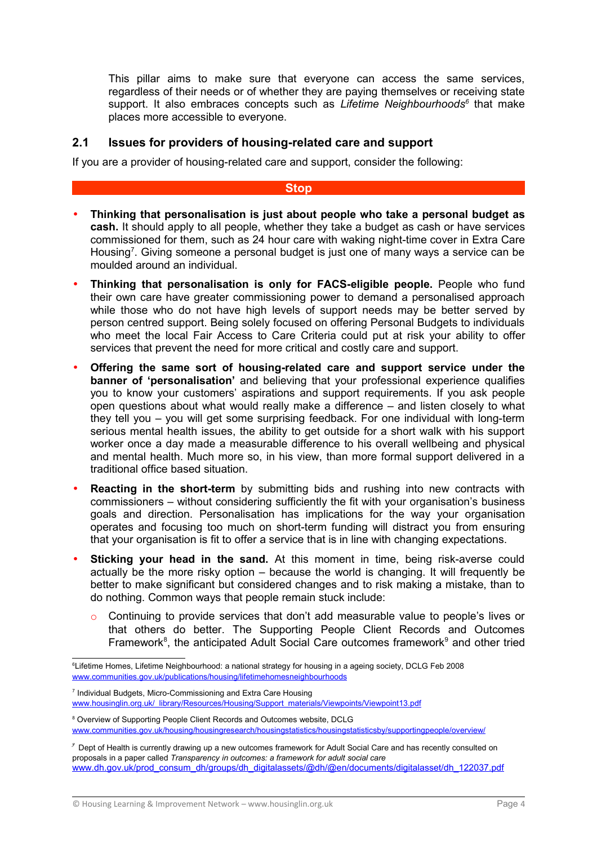This pillar aims to make sure that everyone can access the same services, regardless of their needs or of whether they are paying themselves or receiving state support. It also embraces concepts such as *Lifetime Neighbourhoods[6](#page-4-0)* that make places more accessible to everyone.

## **2.1 Issues for providers of housing-related care and support**

If you are a provider of housing-related care and support, consider the following:

#### **Stop**

- **Thinking that personalisation is just about people who take a personal budget as cash.** It should apply to all people, whether they take a budget as cash or have services commissioned for them, such as 24 hour care with waking night-time cover in Extra Care Housing<sup>[7](#page-4-1)</sup>. Giving someone a personal budget is just one of many ways a service can be moulded around an individual.
- **Thinking that personalisation is only for FACS-eligible people.** People who fund their own care have greater commissioning power to demand a personalised approach while those who do not have high levels of support needs may be better served by person centred support. Being solely focused on offering Personal Budgets to individuals who meet the local Fair Access to Care Criteria could put at risk your ability to offer services that prevent the need for more critical and costly care and support.
- **Offering the same sort of housing-related care and support service under the banner of 'personalisation'** and believing that your professional experience qualifies you to know your customers' aspirations and support requirements. If you ask people open questions about what would really make a difference – and listen closely to what they tell you – you will get some surprising feedback. For one individual with long-term serious mental health issues, the ability to get outside for a short walk with his support worker once a day made a measurable difference to his overall wellbeing and physical and mental health. Much more so, in his view, than more formal support delivered in a traditional office based situation.
- **Reacting in the short-term** by submitting bids and rushing into new contracts with commissioners – without considering sufficiently the fit with your organisation's business goals and direction. Personalisation has implications for the way your organisation operates and focusing too much on short-term funding will distract you from ensuring that your organisation is fit to offer a service that is in line with changing expectations.
- **Sticking your head in the sand.** At this moment in time, being risk-averse could actually be the more risky option – because the world is changing. It will frequently be better to make significant but considered changes and to risk making a mistake, than to do nothing. Common ways that people remain stuck include:
	- o Continuing to provide services that don't add measurable value to people's lives or that others do better. The Supporting People Client Records and Outcomes Framework<sup>[8](#page-4-2)</sup>, the anticipated Adult Social Care outcomes framework<sup>[9](#page-4-3)</sup> and other tried

<span id="page-4-1"></span>7 Individual Budgets, Micro-Commissioning and Extra Care Housing [www.housinglin.org.uk/\\_library/Resources/Housing/Support\\_materials/Viewpoints/Viewpoint13.pdf](http://www.housinglin.org.uk/_library/Resources/Housing/Support_materials/Viewpoints/Viewpoint13.pdf)

© Housing Learning & Improvement Network – www.housinglin.org.uk Page 4

<span id="page-4-0"></span><sup>6</sup>Lifetime Homes, Lifetime Neighbourhood: a national strategy for housing in a ageing society, DCLG Feb 2008 [www.communities.gov.uk/publications/housing/lifetimehomesneighbourhoods](http://www.communities.gov.uk/publications/housing/lifetimehomesneighbourhoods)

<span id="page-4-2"></span><sup>8</sup> Overview of Supporting People Client Records and Outcomes website, DCLG [www.communities.gov.uk/housing/housingresearch/housingstatistics/housingstatisticsby/supportingpeople/overview/](http://www.communities.gov.uk/housing/housingresearch/housingstatistics/housingstatisticsby/supportingpeople/overview/)

<span id="page-4-3"></span> $\degree$  Dept of Health is currently drawing up a new outcomes framework for Adult Social Care and has recently consulted on proposals in a paper called *Transparency in outcomes: a framework for adult social care* [www.dh.gov.uk/prod\\_consum\\_dh/groups/dh\\_digitalassets/@dh/@en/documents/digitalasset/dh\\_122037.pdf](http://www.dh.gov.uk/prod_consum_dh/groups/dh_digitalassets/@dh/@en/documents/digitalasset/dh_122037.pdf)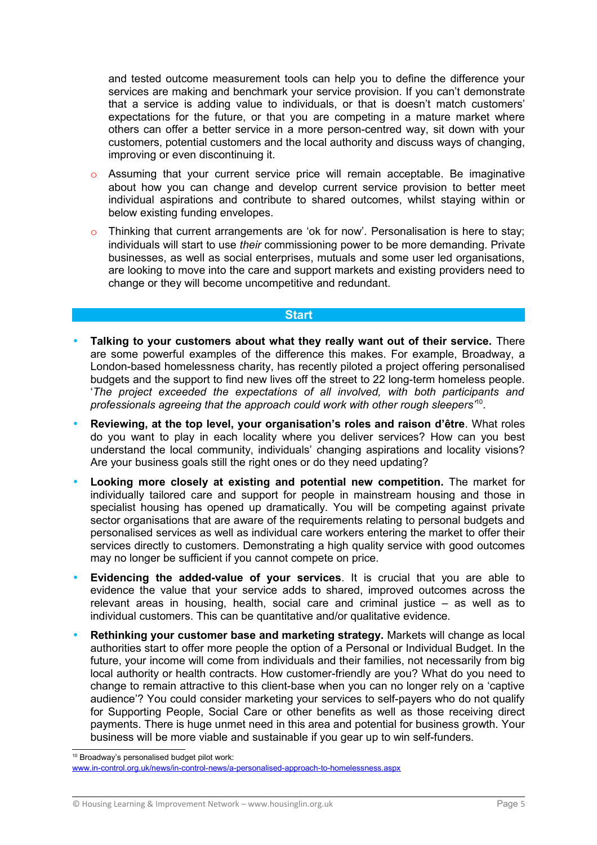and tested outcome measurement tools can help you to define the difference your services are making and benchmark your service provision. If you can't demonstrate that a service is adding value to individuals, or that is doesn't match customers' expectations for the future, or that you are competing in a mature market where others can offer a better service in a more person-centred way, sit down with your customers, potential customers and the local authority and discuss ways of changing, improving or even discontinuing it.

- $\circ$  Assuming that your current service price will remain acceptable. Be imaginative about how you can change and develop current service provision to better meet individual aspirations and contribute to shared outcomes, whilst staying within or below existing funding envelopes.
- o Thinking that current arrangements are 'ok for now'. Personalisation is here to stay; individuals will start to use *their* commissioning power to be more demanding. Private businesses, as well as social enterprises, mutuals and some user led organisations, are looking to move into the care and support markets and existing providers need to change or they will become uncompetitive and redundant.

#### **Start**

- **Talking to your customers about what they really want out of their service.** There are some powerful examples of the difference this makes. For example, Broadway, a London-based homelessness charity, has recently piloted a project offering personalised budgets and the support to find new lives off the street to 22 long-term homeless people. '*The project exceeded the expectations of all involved, with both participants and professionals agreeing that the approach could work with other rough sleepers'*[10](#page-5-0) .
- **Reviewing, at the top level, your organisation's roles and raison d'être**. What roles do you want to play in each locality where you deliver services? How can you best understand the local community, individuals' changing aspirations and locality visions? Are your business goals still the right ones or do they need updating?
- **Looking more closely at existing and potential new competition.** The market for individually tailored care and support for people in mainstream housing and those in specialist housing has opened up dramatically. You will be competing against private sector organisations that are aware of the requirements relating to personal budgets and personalised services as well as individual care workers entering the market to offer their services directly to customers. Demonstrating a high quality service with good outcomes may no longer be sufficient if you cannot compete on price.
- **Evidencing the added-value of your services**. It is crucial that you are able to evidence the value that your service adds to shared, improved outcomes across the relevant areas in housing, health, social care and criminal justice – as well as to individual customers. This can be quantitative and/or qualitative evidence.
- **Rethinking your customer base and marketing strategy.** Markets will change as local authorities start to offer more people the option of a Personal or Individual Budget. In the future, your income will come from individuals and their families, not necessarily from big local authority or health contracts. How customer-friendly are you? What do you need to change to remain attractive to this client-base when you can no longer rely on a 'captive audience'? You could consider marketing your services to self-payers who do not qualify for Supporting People, Social Care or other benefits as well as those receiving direct payments. There is huge unmet need in this area and potential for business growth. Your business will be more viable and sustainable if you gear up to win self-funders.

<span id="page-5-0"></span><sup>10</sup> Broadway's personalised budget pilot work: [www.in-control.org.uk/news/in-control-news/a-personalised-approach-to-homelessness.aspx](http://www.in-control.org.uk/news/in-control-news/a-personalised-approach-to-homelessness.aspx)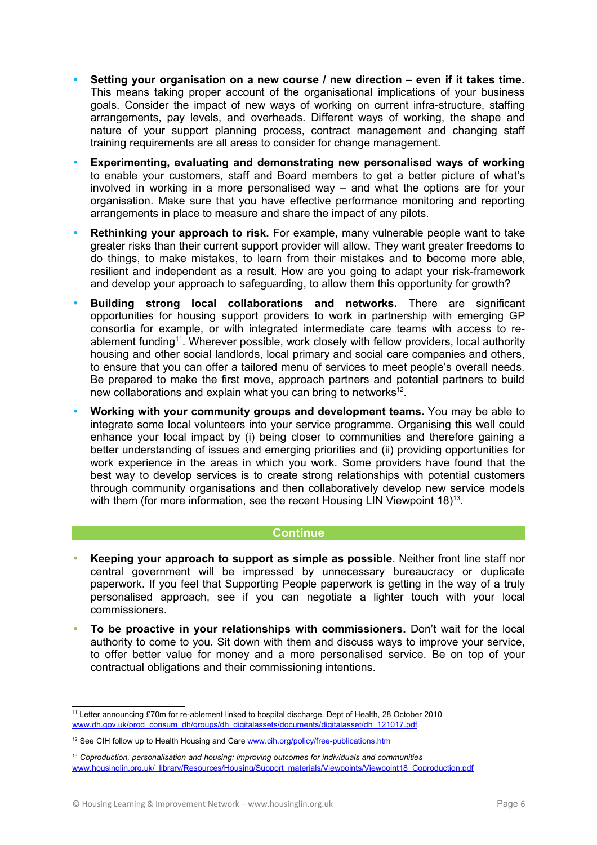- **Setting your organisation on a new course / new direction even if it takes time.** This means taking proper account of the organisational implications of your business goals. Consider the impact of new ways of working on current infra-structure, staffing arrangements, pay levels, and overheads. Different ways of working, the shape and nature of your support planning process, contract management and changing staff training requirements are all areas to consider for change management.
- **Experimenting, evaluating and demonstrating new personalised ways of working** to enable your customers, staff and Board members to get a better picture of what's involved in working in a more personalised way – and what the options are for your organisation. Make sure that you have effective performance monitoring and reporting arrangements in place to measure and share the impact of any pilots.
- **Rethinking your approach to risk.** For example, many vulnerable people want to take greater risks than their current support provider will allow. They want greater freedoms to do things, to make mistakes, to learn from their mistakes and to become more able, resilient and independent as a result. How are you going to adapt your risk-framework and develop your approach to safeguarding, to allow them this opportunity for growth?
- **Building strong local collaborations and networks.** There are significant opportunities for housing support providers to work in partnership with emerging GP consortia for example, or with integrated intermediate care teams with access to re-ablement funding<sup>[11](#page-6-0)</sup>. Wherever possible, work closely with fellow providers, local authority housing and other social landlords, local primary and social care companies and others, to ensure that you can offer a tailored menu of services to meet people's overall needs. Be prepared to make the first move, approach partners and potential partners to build new collaborations and explain what you can bring to networks $^{12}$  $^{12}$  $^{12}$ .
- **Working with your community groups and development teams.** You may be able to integrate some local volunteers into your service programme. Organising this well could enhance your local impact by (i) being closer to communities and therefore gaining a better understanding of issues and emerging priorities and (ii) providing opportunities for work experience in the areas in which you work. Some providers have found that the best way to develop services is to create strong relationships with potential customers through community organisations and then collaboratively develop new service models with them (for more information, see the recent Housing LIN Viewpoint  $18$ )<sup>[13](#page-6-2)</sup>.

## **Continue Continue**

- **Keeping your approach to support as simple as possible**. Neither front line staff nor central government will be impressed by unnecessary bureaucracy or duplicate paperwork. If you feel that Supporting People paperwork is getting in the way of a truly personalised approach, see if you can negotiate a lighter touch with your local commissioners.
- **To be proactive in your relationships with commissioners.** Don't wait for the local authority to come to you. Sit down with them and discuss ways to improve your service, to offer better value for money and a more personalised service. Be on top of your contractual obligations and their commissioning intentions.

<span id="page-6-0"></span><sup>11</sup> Letter announcing £70m for re-ablement linked to hospital discharge. Dept of Health, 28 October 2010 [www.dh.gov.uk/prod\\_consum\\_dh/groups/dh\\_digitalassets/documents/digitalasset/dh\\_121017.pdf](http://www.dh.gov.uk/prod_consum_dh/groups/dh_digitalassets/documents/digitalasset/dh_121017.pdf)

<span id="page-6-1"></span><sup>&</sup>lt;sup>12</sup> See CIH follow up to Health Housing and Care [www.cih.org/policy/free-publications.htm](http://www.cih.org/policy/free-publications.htm)

<span id="page-6-2"></span><sup>13</sup> *Coproduction, personalisation and housing: improving outcomes for individuals and communities* www.housinglin.org.uk/\_library/Resources/Housing/Support\_materials/Viewpoints/Viewpoint18\_Coproduction.pdf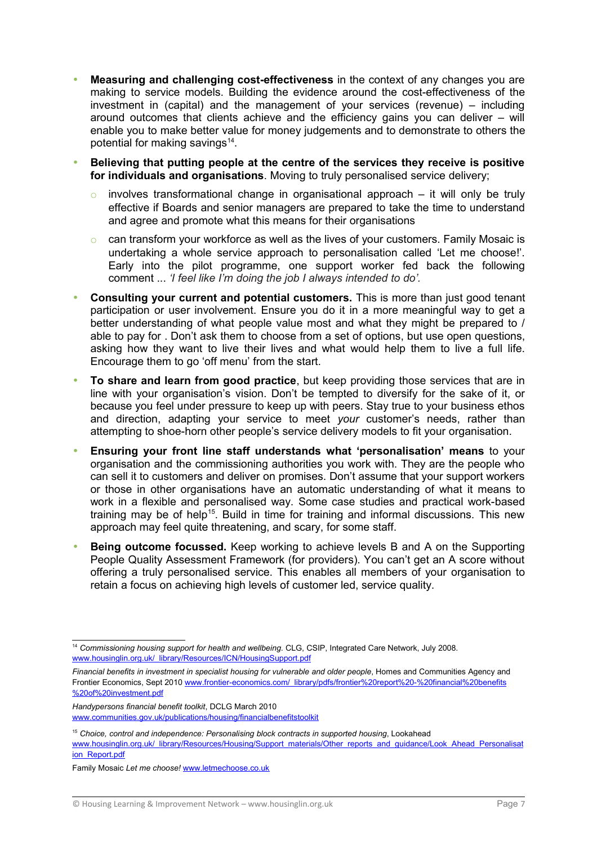- **Measuring and challenging cost-effectiveness** in the context of any changes you are making to service models. Building the evidence around the cost-effectiveness of the investment in (capital) and the management of your services (revenue) – including around outcomes that clients achieve and the efficiency gains you can deliver – will enable you to make better value for money judgements and to demonstrate to others the potential for making savings<sup>[14](#page-7-0)</sup>.
- **Believing that putting people at the centre of the services they receive is positive for individuals and organisations**. Moving to truly personalised service delivery;
	- involves transformational change in organisational approach  $-$  it will only be truly effective if Boards and senior managers are prepared to take the time to understand and agree and promote what this means for their organisations
	- can transform your workforce as well as the lives of your customers. Family Mosaic is undertaking a whole service approach to personalisation called 'Let me choose!'. Early into the pilot programme, one support worker fed back the following comment ... *'I feel like I'm doing the job I always intended to do'.*
- **Consulting your current and potential customers.** This is more than just good tenant participation or user involvement. Ensure you do it in a more meaningful way to get a better understanding of what people value most and what they might be prepared to / able to pay for . Don't ask them to choose from a set of options, but use open questions, asking how they want to live their lives and what would help them to live a full life. Encourage them to go 'off menu' from the start.
- **To share and learn from good practice**, but keep providing those services that are in line with your organisation's vision. Don't be tempted to diversify for the sake of it, or because you feel under pressure to keep up with peers. Stay true to your business ethos and direction, adapting your service to meet *your* customer's needs, rather than attempting to shoe-horn other people's service delivery models to fit your organisation.
- **Ensuring your front line staff understands what 'personalisation' means** to your organisation and the commissioning authorities you work with. They are the people who can sell it to customers and deliver on promises. Don't assume that your support workers or those in other organisations have an automatic understanding of what it means to work in a flexible and personalised way. Some case studies and practical work-based training may be of help<sup>[15](#page-7-1)</sup>. Build in time for training and informal discussions. This new approach may feel quite threatening, and scary, for some staff.
- **Being outcome focussed.** Keep working to achieve levels B and A on the Supporting People Quality Assessment Framework (for providers). You can't get an A score without offering a truly personalised service. This enables all members of your organisation to retain a focus on achieving high levels of customer led, service quality.

*Handypersons financial benefit toolkit*, DCLG March 2010 [www.communities.gov.uk/publications/housing/financialbenefitstoolkit](http://www.communities.gov.uk/publications/housing/financialbenefitstoolkit)

[www.housinglin.org.uk/\\_library/Resources/Housing/Support\\_materials/Other\\_reports\\_and\\_guidance/Look\\_Ahead\\_Personalisat](http://www.housinglin.org.uk/_library/Resources/Housing/Support_materials/Other_reports_and_guidance/Look_Ahead_Personalisation_Report.pdf) [ion\\_Report.pdf](http://www.housinglin.org.uk/_library/Resources/Housing/Support_materials/Other_reports_and_guidance/Look_Ahead_Personalisation_Report.pdf)

<span id="page-7-0"></span><sup>14</sup> *Commissioning housing support for health and wellbeing*. CLG, CSIP, Integrated Care Network, July 2008. [www.housinglin.org.uk/\\_library/Resources/ICN/HousingSupport.pdf](http://www.housinglin.org.uk/_library/Resources/ICN/HousingSupport.pdf)

*Financial benefits in investment in specialist housing for vulnerable and older people*, Homes and Communities Agency and Frontier Economics, Sept 2010 [www.frontier-economics.com/\\_library/pdfs/frontier%20report%20-%20financial%20benefits](http://www.frontier-economics.com/_library/pdfs/frontier%20report%20-%20financial%20benefits%20of%20investment.pdf) [%20of%20investment.pdf](http://www.frontier-economics.com/_library/pdfs/frontier%20report%20-%20financial%20benefits%20of%20investment.pdf)

<span id="page-7-1"></span><sup>15</sup> *Choice, control and independence: Personalising block contracts in supported housing*, Lookahead

Family Mosaic *Let me choose!* [www.letmechoose.co.uk](http://www.letmechoose.co.uk/)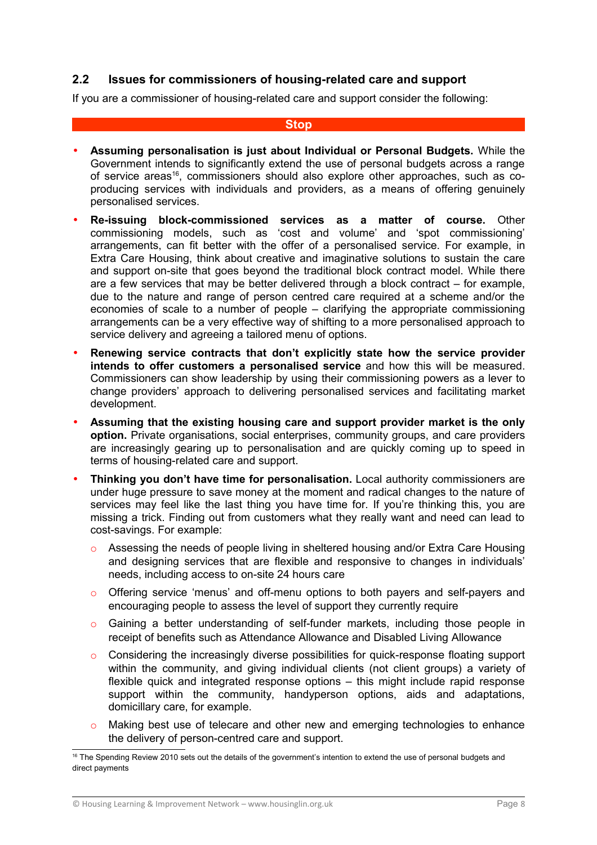## **2.2 Issues for commissioners of housing-related care and support**

If you are a commissioner of housing-related care and support consider the following:

#### **Stop**

- **Assuming personalisation is just about Individual or Personal Budgets.** While the Government intends to significantly extend the use of personal budgets across a range of service areas<sup>[16](#page-8-0)</sup>, commissioners should also explore other approaches, such as coproducing services with individuals and providers, as a means of offering genuinely personalised services.
- **Re-issuing block-commissioned services as a matter of course.** Other commissioning models, such as 'cost and volume' and 'spot commissioning' arrangements, can fit better with the offer of a personalised service. For example, in Extra Care Housing, think about creative and imaginative solutions to sustain the care and support on-site that goes beyond the traditional block contract model. While there are a few services that may be better delivered through a block contract – for example, due to the nature and range of person centred care required at a scheme and/or the economies of scale to a number of people – clarifying the appropriate commissioning arrangements can be a very effective way of shifting to a more personalised approach to service delivery and agreeing a tailored menu of options.
- **Renewing service contracts that don't explicitly state how the service provider intends to offer customers a personalised service** and how this will be measured. Commissioners can show leadership by using their commissioning powers as a lever to change providers' approach to delivering personalised services and facilitating market development.
- **Assuming that the existing housing care and support provider market is the only option.** Private organisations, social enterprises, community groups, and care providers are increasingly gearing up to personalisation and are quickly coming up to speed in terms of housing-related care and support.
- **Thinking you don't have time for personalisation.** Local authority commissioners are under huge pressure to save money at the moment and radical changes to the nature of services may feel like the last thing you have time for. If you're thinking this, you are missing a trick. Finding out from customers what they really want and need can lead to cost-savings. For example:
	- o Assessing the needs of people living in sheltered housing and/or Extra Care Housing and designing services that are flexible and responsive to changes in individuals' needs, including access to on-site 24 hours care
	- o Offering service 'menus' and off-menu options to both payers and self-payers and encouraging people to assess the level of support they currently require
	- o Gaining a better understanding of self-funder markets, including those people in receipt of benefits such as Attendance Allowance and Disabled Living Allowance
	- $\circ$  Considering the increasingly diverse possibilities for quick-response floating support within the community, and giving individual clients (not client groups) a variety of flexible quick and integrated response options – this might include rapid response support within the community, handyperson options, aids and adaptations, domicillary care, for example.
	- o Making best use of telecare and other new and emerging technologies to enhance the delivery of person-centred care and support.

<span id="page-8-0"></span><sup>&</sup>lt;sup>16</sup> The Spending Review 2010 sets out the details of the government's intention to extend the use of personal budgets and direct payments

<sup>©</sup> Housing Learning & Improvement Network – www.housinglin.org.uk Page 8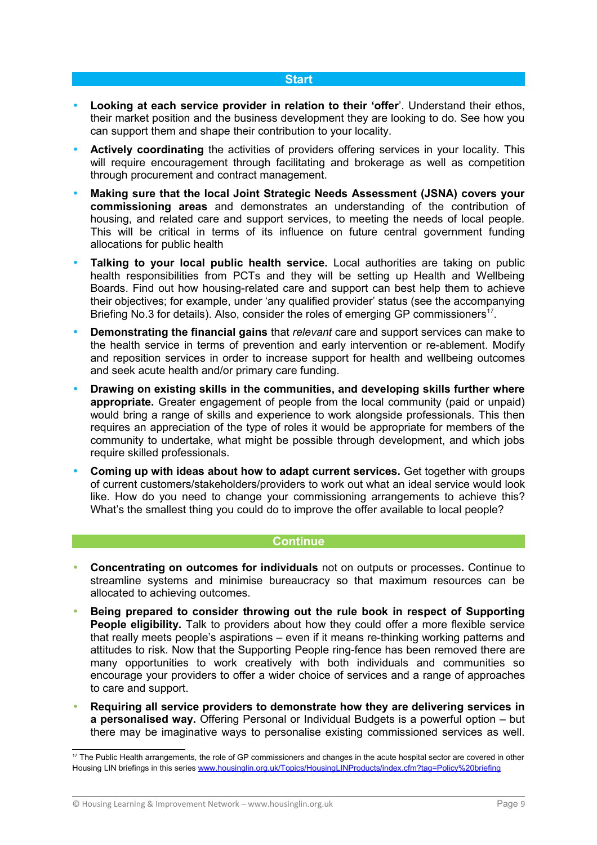### **Start**

- **Looking at each service provider in relation to their 'offer**'. Understand their ethos, their market position and the business development they are looking to do. See how you can support them and shape their contribution to your locality.
- **Actively coordinating** the activities of providers offering services in your locality. This will require encouragement through facilitating and brokerage as well as competition through procurement and contract management.
- **Making sure that the local Joint Strategic Needs Assessment (JSNA) covers your commissioning areas** and demonstrates an understanding of the contribution of housing, and related care and support services, to meeting the needs of local people. This will be critical in terms of its influence on future central government funding allocations for public health
- **Talking to your local public health service.** Local authorities are taking on public health responsibilities from PCTs and they will be setting up Health and Wellbeing Boards. Find out how housing-related care and support can best help them to achieve their objectives; for example, under 'any qualified provider' status (see the accompanying Briefing No.3 for details). Also, consider the roles of emerging GP commissioners<sup>[17](#page-9-0)</sup>.
- **Demonstrating the financial gains** that *relevant* care and support services can make to the health service in terms of prevention and early intervention or re-ablement. Modify and reposition services in order to increase support for health and wellbeing outcomes and seek acute health and/or primary care funding.
- **Drawing on existing skills in the communities, and developing skills further where appropriate.** Greater engagement of people from the local community (paid or unpaid) would bring a range of skills and experience to work alongside professionals. This then requires an appreciation of the type of roles it would be appropriate for members of the community to undertake, what might be possible through development, and which jobs require skilled professionals.
- **Coming up with ideas about how to adapt current services.** Get together with groups of current customers/stakeholders/providers to work out what an ideal service would look like. How do you need to change your commissioning arrangements to achieve this? What's the smallest thing you could do to improve the offer available to local people?

## **Continue**

- **Concentrating on outcomes for individuals** not on outputs or processes**.** Continue to streamline systems and minimise bureaucracy so that maximum resources can be allocated to achieving outcomes.
- **Being prepared to consider throwing out the rule book in respect of Supporting People eligibility.** Talk to providers about how they could offer a more flexible service that really meets people's aspirations – even if it means re-thinking working patterns and attitudes to risk. Now that the Supporting People ring-fence has been removed there are many opportunities to work creatively with both individuals and communities so encourage your providers to offer a wider choice of services and a range of approaches to care and support.
- **Requiring all service providers to demonstrate how they are delivering services in a personalised way.** Offering Personal or Individual Budgets is a powerful option – but there may be imaginative ways to personalise existing commissioned services as well.

<span id="page-9-0"></span><sup>&</sup>lt;sup>17</sup> The Public Health arrangements, the role of GP commissioners and changes in the acute hospital sector are covered in other Housing LIN briefings in this series [www.housinglin.org.uk/Topics/HousingLINProducts/index.cfm?tag=Policy%20briefing](http://www.housinglin.org.uk/Topics/HousingLINProducts/index.cfm?tag=Policy%20briefing)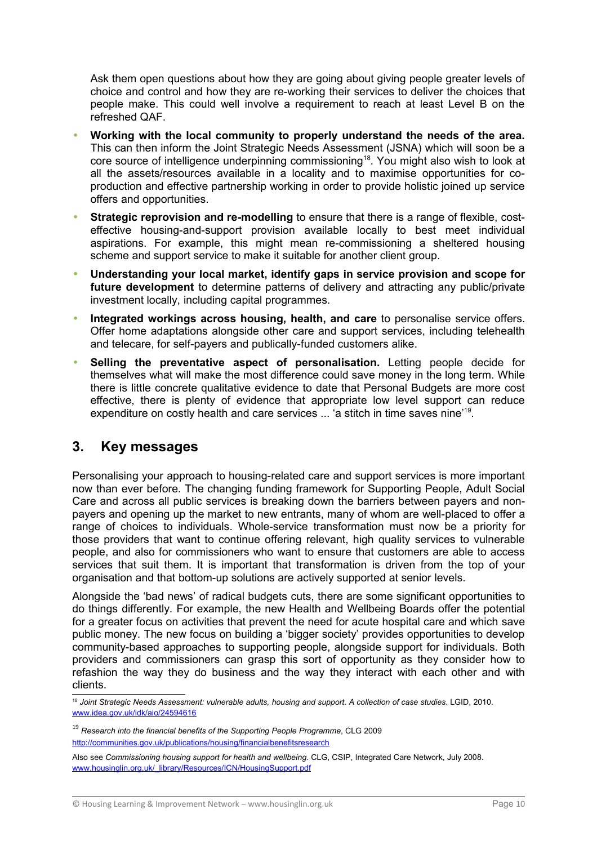Ask them open questions about how they are going about giving people greater levels of choice and control and how they are re-working their services to deliver the choices that people make. This could well involve a requirement to reach at least Level B on the refreshed QAF.

- **Working with the local community to properly understand the needs of the area.** This can then inform the Joint Strategic Needs Assessment (JSNA) which will soon be a core source of intelligence underpinning commissioning<sup>[18](#page-10-0)</sup>. You might also wish to look at all the assets/resources available in a locality and to maximise opportunities for coproduction and effective partnership working in order to provide holistic joined up service offers and opportunities.
- **Strategic reprovision and re-modelling** to ensure that there is a range of flexible, costeffective housing-and-support provision available locally to best meet individual aspirations. For example, this might mean re-commissioning a sheltered housing scheme and support service to make it suitable for another client group.
- **Understanding your local market, identify gaps in service provision and scope for future development** to determine patterns of delivery and attracting any public/private investment locally, including capital programmes.
- **Integrated workings across housing, health, and care** to personalise service offers. Offer home adaptations alongside other care and support services, including telehealth and telecare, for self-payers and publically-funded customers alike.
- **Selling the preventative aspect of personalisation.** Letting people decide for themselves what will make the most difference could save money in the long term. While there is little concrete qualitative evidence to date that Personal Budgets are more cost effective, there is plenty of evidence that appropriate low level support can reduce expenditure on costly health and care services ... 'a stitch in time saves nine'<sup>[19](#page-10-1)</sup>.

# **3. Key messages**

Personalising your approach to housing-related care and support services is more important now than ever before. The changing funding framework for Supporting People, Adult Social Care and across all public services is breaking down the barriers between payers and nonpayers and opening up the market to new entrants, many of whom are well-placed to offer a range of choices to individuals. Whole-service transformation must now be a priority for those providers that want to continue offering relevant, high quality services to vulnerable people, and also for commissioners who want to ensure that customers are able to access services that suit them. It is important that transformation is driven from the top of your organisation and that bottom-up solutions are actively supported at senior levels.

Alongside the 'bad news' of radical budgets cuts, there are some significant opportunities to do things differently. For example, the new Health and Wellbeing Boards offer the potential for a greater focus on activities that prevent the need for acute hospital care and which save public money. The new focus on building a 'bigger society' provides opportunities to develop community-based approaches to supporting people, alongside support for individuals. Both providers and commissioners can grasp this sort of opportunity as they consider how to refashion the way they do business and the way they interact with each other and with clients.

<span id="page-10-0"></span><sup>18</sup> *Joint Strategic Needs Assessment: vulnerable adults, housing and support. A collection of case studies*. LGID, 2010. www.idea.gov.uk/idk/aio/24594616

<span id="page-10-1"></span><sup>19</sup> *Research into the financial benefits of the Supporting People Programme*, CLG 2009 <http://communities.gov.uk/publications/housing/financialbenefitsresearch>

Also see *Commissioning housing support for health and wellbeing*. CLG, CSIP, Integrated Care Network, July 2008. [www.housinglin.org.uk/\\_library/Resources/ICN/HousingSupport.pdf](http://www.housinglin.org.uk/_library/Resources/ICN/HousingSupport.pdf)